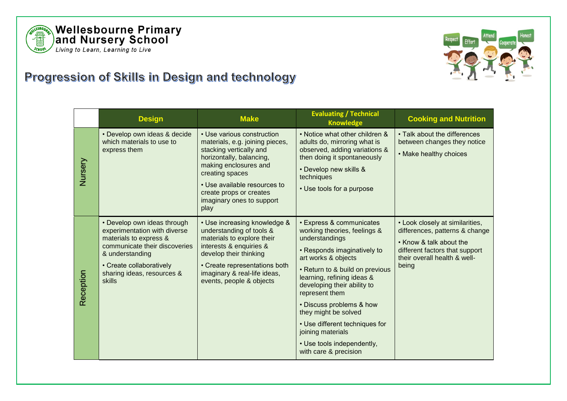



## Progression of Skills in Design and technology

|           | <b>Design</b>                                                                                                                                                                                                 | <b>Make</b>                                                                                                                                                                                                                                                      | <b>Evaluating / Technical</b><br><b>Knowledge</b>                                                                                                                                                                                                                                                                                                                                                                               | <b>Cooking and Nutrition</b>                                                                                                                                            |
|-----------|---------------------------------------------------------------------------------------------------------------------------------------------------------------------------------------------------------------|------------------------------------------------------------------------------------------------------------------------------------------------------------------------------------------------------------------------------------------------------------------|---------------------------------------------------------------------------------------------------------------------------------------------------------------------------------------------------------------------------------------------------------------------------------------------------------------------------------------------------------------------------------------------------------------------------------|-------------------------------------------------------------------------------------------------------------------------------------------------------------------------|
| Nursery   | • Develop own ideas & decide<br>which materials to use to<br>express them                                                                                                                                     | • Use various construction<br>materials, e.g. joining pieces,<br>stacking vertically and<br>horizontally, balancing,<br>making enclosures and<br>creating spaces<br>• Use available resources to<br>create props or creates<br>imaginary ones to support<br>play | . Notice what other children &<br>adults do, mirroring what is<br>observed, adding variations &<br>then doing it spontaneously<br>• Develop new skills &<br>techniques<br>• Use tools for a purpose                                                                                                                                                                                                                             | • Talk about the differences<br>between changes they notice<br>• Make healthy choices                                                                                   |
| Reception | • Develop own ideas through<br>experimentation with diverse<br>materials to express &<br>communicate their discoveries<br>& understanding<br>• Create collaboratively<br>sharing ideas, resources &<br>skills | • Use increasing knowledge &<br>understanding of tools &<br>materials to explore their<br>interests & enquiries &<br>develop their thinking<br>• Create representations both<br>imaginary & real-life ideas,<br>events, people & objects                         | <b>· Express &amp; communicates</b><br>working theories, feelings &<br>understandings<br>• Responds imaginatively to<br>art works & objects<br>• Return to & build on previous<br>learning, refining ideas &<br>developing their ability to<br>represent them<br>• Discuss problems & how<br>they might be solved<br>• Use different techniques for<br>joining materials<br>• Use tools independently,<br>with care & precision | • Look closely at similarities,<br>differences, patterns & change<br>• Know & talk about the<br>different factors that support<br>their overall health & well-<br>being |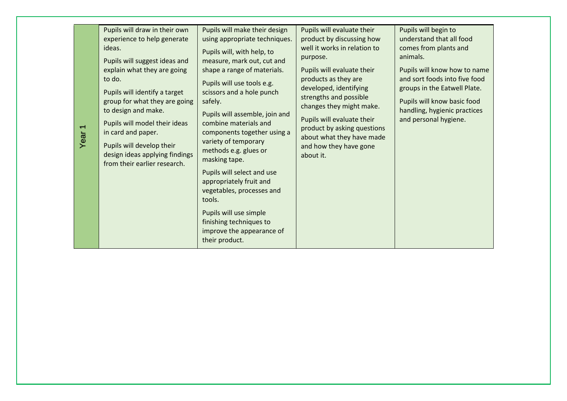| Year | Pupils will draw in their own<br>experience to help generate<br>ideas.<br>Pupils will suggest ideas and<br>explain what they are going<br>to do.<br>Pupils will identify a target<br>group for what they are going<br>to design and make.<br>Pupils will model their ideas<br>in card and paper.<br>Pupils will develop their<br>design ideas applying findings<br>from their earlier research. | Pupils will make their design<br>using appropriate techniques.<br>Pupils will, with help, to<br>measure, mark out, cut and<br>shape a range of materials.<br>Pupils will use tools e.g.<br>scissors and a hole punch<br>safely.<br>Pupils will assemble, join and<br>combine materials and<br>components together using a<br>variety of temporary<br>methods e.g. glues or<br>masking tape.<br>Pupils will select and use<br>appropriately fruit and<br>vegetables, processes and<br>tools.<br>Pupils will use simple<br>finishing techniques to<br>improve the appearance of<br>their product. | Pupils will evaluate their<br>product by discussing how<br>well it works in relation to<br>purpose.<br>Pupils will evaluate their<br>products as they are<br>developed, identifying<br>strengths and possible<br>changes they might make.<br>Pupils will evaluate their<br>product by asking questions<br>about what they have made<br>and how they have gone<br>about it. | Pupils will begin to<br>understand that all food<br>comes from plants and<br>animals.<br>Pupils will know how to name<br>and sort foods into five food<br>groups in the Eatwell Plate.<br>Pupils will know basic food<br>handling, hygienic practices<br>and personal hygiene. |
|------|-------------------------------------------------------------------------------------------------------------------------------------------------------------------------------------------------------------------------------------------------------------------------------------------------------------------------------------------------------------------------------------------------|-------------------------------------------------------------------------------------------------------------------------------------------------------------------------------------------------------------------------------------------------------------------------------------------------------------------------------------------------------------------------------------------------------------------------------------------------------------------------------------------------------------------------------------------------------------------------------------------------|----------------------------------------------------------------------------------------------------------------------------------------------------------------------------------------------------------------------------------------------------------------------------------------------------------------------------------------------------------------------------|--------------------------------------------------------------------------------------------------------------------------------------------------------------------------------------------------------------------------------------------------------------------------------|
|------|-------------------------------------------------------------------------------------------------------------------------------------------------------------------------------------------------------------------------------------------------------------------------------------------------------------------------------------------------------------------------------------------------|-------------------------------------------------------------------------------------------------------------------------------------------------------------------------------------------------------------------------------------------------------------------------------------------------------------------------------------------------------------------------------------------------------------------------------------------------------------------------------------------------------------------------------------------------------------------------------------------------|----------------------------------------------------------------------------------------------------------------------------------------------------------------------------------------------------------------------------------------------------------------------------------------------------------------------------------------------------------------------------|--------------------------------------------------------------------------------------------------------------------------------------------------------------------------------------------------------------------------------------------------------------------------------|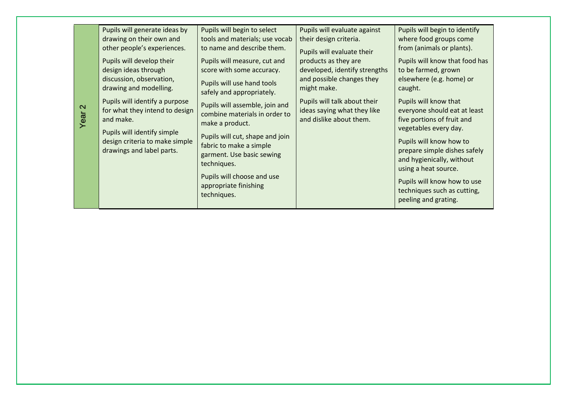| $\sim$<br>Year | Pupils will generate ideas by<br>drawing on their own and<br>other people's experiences.<br>Pupils will develop their<br>design ideas through<br>discussion, observation,<br>drawing and modelling.<br>Pupils will identify a purpose<br>for what they intend to design<br>and make.<br>Pupils will identify simple<br>design criteria to make simple<br>drawings and label parts. | Pupils will begin to select<br>tools and materials; use vocab<br>to name and describe them.<br>Pupils will measure, cut and<br>score with some accuracy.<br>Pupils will use hand tools<br>safely and appropriately.<br>Pupils will assemble, join and<br>combine materials in order to<br>make a product.<br>Pupils will cut, shape and join<br>fabric to make a simple<br>garment. Use basic sewing<br>techniques.<br>Pupils will choose and use<br>appropriate finishing<br>techniques. | Pupils will evaluate against<br>their design criteria.<br>Pupils will evaluate their<br>products as they are<br>developed, identify strengths<br>and possible changes they<br>might make.<br>Pupils will talk about their<br>ideas saying what they like<br>and dislike about them. | Pupils will begin to identify<br>where food groups come<br>from (animals or plants).<br>Pupils will know that food has<br>to be farmed, grown<br>elsewhere (e.g. home) or<br>caught.<br>Pupils will know that<br>everyone should eat at least<br>five portions of fruit and<br>vegetables every day.<br>Pupils will know how to<br>prepare simple dishes safely<br>and hygienically, without<br>using a heat source.<br>Pupils will know how to use<br>techniques such as cutting,<br>peeling and grating. |
|----------------|------------------------------------------------------------------------------------------------------------------------------------------------------------------------------------------------------------------------------------------------------------------------------------------------------------------------------------------------------------------------------------|-------------------------------------------------------------------------------------------------------------------------------------------------------------------------------------------------------------------------------------------------------------------------------------------------------------------------------------------------------------------------------------------------------------------------------------------------------------------------------------------|-------------------------------------------------------------------------------------------------------------------------------------------------------------------------------------------------------------------------------------------------------------------------------------|------------------------------------------------------------------------------------------------------------------------------------------------------------------------------------------------------------------------------------------------------------------------------------------------------------------------------------------------------------------------------------------------------------------------------------------------------------------------------------------------------------|
|----------------|------------------------------------------------------------------------------------------------------------------------------------------------------------------------------------------------------------------------------------------------------------------------------------------------------------------------------------------------------------------------------------|-------------------------------------------------------------------------------------------------------------------------------------------------------------------------------------------------------------------------------------------------------------------------------------------------------------------------------------------------------------------------------------------------------------------------------------------------------------------------------------------|-------------------------------------------------------------------------------------------------------------------------------------------------------------------------------------------------------------------------------------------------------------------------------------|------------------------------------------------------------------------------------------------------------------------------------------------------------------------------------------------------------------------------------------------------------------------------------------------------------------------------------------------------------------------------------------------------------------------------------------------------------------------------------------------------------|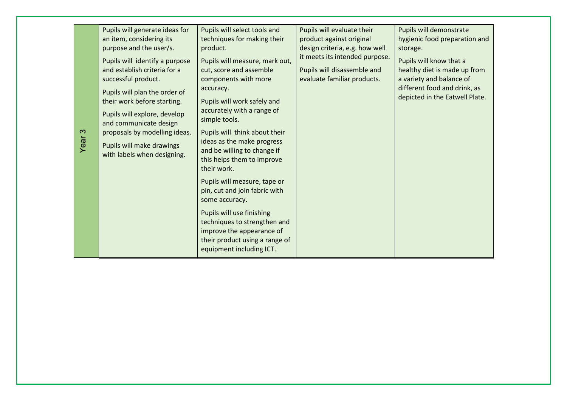| Pupils will generate ideas for<br>an item, considering its<br>purpose and the user/s.<br>Pupils will identify a purpose<br>and establish criteria for a<br>successful product.<br>Pupils will plan the order of<br>their work before starting.<br>Pupils will explore, develop<br>and communicate design<br>proposals by modelling ideas.<br>Year <sub>3</sub><br>Pupils will make drawings<br>with labels when designing. | Pupils will select tools and<br>techniques for making their<br>product.<br>Pupils will measure, mark out,<br>cut, score and assemble<br>components with more<br>accuracy.<br>Pupils will work safely and<br>accurately with a range of<br>simple tools.<br>Pupils will think about their<br>ideas as the make progress<br>and be willing to change if<br>this helps them to improve<br>their work.<br>Pupils will measure, tape or<br>pin, cut and join fabric with<br>some accuracy.<br>Pupils will use finishing<br>techniques to strengthen and<br>improve the appearance of<br>their product using a range of<br>equipment including ICT. | Pupils will evaluate their<br>product against original<br>design criteria, e.g. how well<br>it meets its intended purpose.<br>Pupils will disassemble and<br>evaluate familiar products. | Pupils will demonstrate<br>hygienic food preparation and<br>storage.<br>Pupils will know that a<br>healthy diet is made up from<br>a variety and balance of<br>different food and drink, as<br>depicted in the Eatwell Plate. |
|----------------------------------------------------------------------------------------------------------------------------------------------------------------------------------------------------------------------------------------------------------------------------------------------------------------------------------------------------------------------------------------------------------------------------|-----------------------------------------------------------------------------------------------------------------------------------------------------------------------------------------------------------------------------------------------------------------------------------------------------------------------------------------------------------------------------------------------------------------------------------------------------------------------------------------------------------------------------------------------------------------------------------------------------------------------------------------------|------------------------------------------------------------------------------------------------------------------------------------------------------------------------------------------|-------------------------------------------------------------------------------------------------------------------------------------------------------------------------------------------------------------------------------|
|----------------------------------------------------------------------------------------------------------------------------------------------------------------------------------------------------------------------------------------------------------------------------------------------------------------------------------------------------------------------------------------------------------------------------|-----------------------------------------------------------------------------------------------------------------------------------------------------------------------------------------------------------------------------------------------------------------------------------------------------------------------------------------------------------------------------------------------------------------------------------------------------------------------------------------------------------------------------------------------------------------------------------------------------------------------------------------------|------------------------------------------------------------------------------------------------------------------------------------------------------------------------------------------|-------------------------------------------------------------------------------------------------------------------------------------------------------------------------------------------------------------------------------|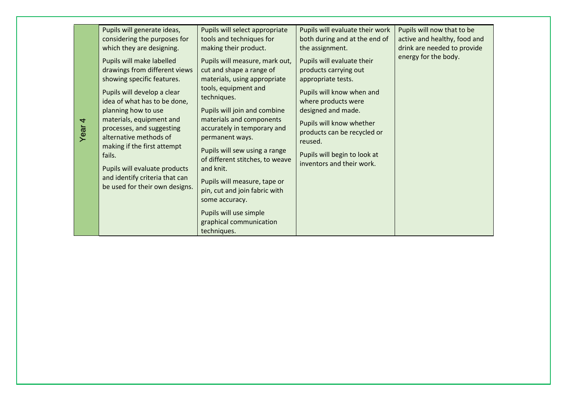| 4<br>Year | Pupils will generate ideas,<br>considering the purposes for<br>which they are designing.<br>Pupils will make labelled<br>drawings from different views<br>showing specific features.<br>Pupils will develop a clear<br>idea of what has to be done,<br>planning how to use<br>materials, equipment and<br>processes, and suggesting<br>alternative methods of<br>making if the first attempt<br>fails.<br>Pupils will evaluate products<br>and identify criteria that can<br>be used for their own designs. | Pupils will select appropriate<br>tools and techniques for<br>making their product.<br>Pupils will measure, mark out,<br>cut and shape a range of<br>materials, using appropriate<br>tools, equipment and<br>techniques.<br>Pupils will join and combine<br>materials and components<br>accurately in temporary and<br>permanent ways.<br>Pupils will sew using a range<br>of different stitches, to weave<br>and knit.<br>Pupils will measure, tape or<br>pin, cut and join fabric with<br>some accuracy.<br>Pupils will use simple<br>graphical communication<br>techniques. | Pupils will evaluate their work<br>both during and at the end of<br>the assignment.<br>Pupils will evaluate their<br>products carrying out<br>appropriate tests.<br>Pupils will know when and<br>where products were<br>designed and made.<br>Pupils will know whether<br>products can be recycled or<br>reused.<br>Pupils will begin to look at<br>inventors and their work. | Pupils will now that to be<br>active and healthy, food and<br>drink are needed to provide<br>energy for the body. |
|-----------|-------------------------------------------------------------------------------------------------------------------------------------------------------------------------------------------------------------------------------------------------------------------------------------------------------------------------------------------------------------------------------------------------------------------------------------------------------------------------------------------------------------|--------------------------------------------------------------------------------------------------------------------------------------------------------------------------------------------------------------------------------------------------------------------------------------------------------------------------------------------------------------------------------------------------------------------------------------------------------------------------------------------------------------------------------------------------------------------------------|-------------------------------------------------------------------------------------------------------------------------------------------------------------------------------------------------------------------------------------------------------------------------------------------------------------------------------------------------------------------------------|-------------------------------------------------------------------------------------------------------------------|
|-----------|-------------------------------------------------------------------------------------------------------------------------------------------------------------------------------------------------------------------------------------------------------------------------------------------------------------------------------------------------------------------------------------------------------------------------------------------------------------------------------------------------------------|--------------------------------------------------------------------------------------------------------------------------------------------------------------------------------------------------------------------------------------------------------------------------------------------------------------------------------------------------------------------------------------------------------------------------------------------------------------------------------------------------------------------------------------------------------------------------------|-------------------------------------------------------------------------------------------------------------------------------------------------------------------------------------------------------------------------------------------------------------------------------------------------------------------------------------------------------------------------------|-------------------------------------------------------------------------------------------------------------------|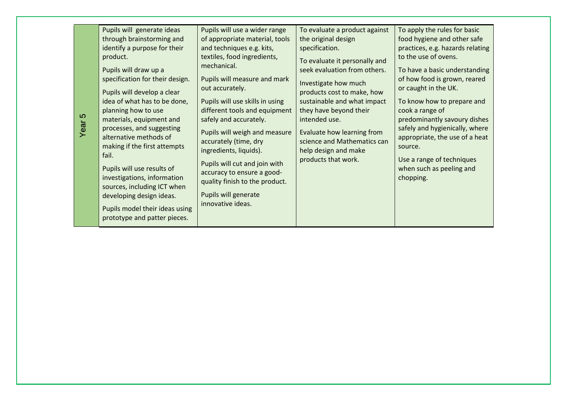| မာ<br>Year | Pupils will generate ideas<br>through brainstorming and<br>identify a purpose for their<br>product.<br>Pupils will draw up a<br>specification for their design.<br>Pupils will develop a clear<br>idea of what has to be done,<br>planning how to use<br>materials, equipment and<br>processes, and suggesting<br>alternative methods of<br>making if the first attempts<br>fail.<br>Pupils will use results of<br>investigations, information<br>sources, including ICT when<br>developing design ideas.<br>Pupils model their ideas using<br>prototype and patter pieces. | Pupils will use a wider range<br>of appropriate material, tools<br>and techniques e.g. kits,<br>textiles, food ingredients,<br>mechanical.<br>Pupils will measure and mark<br>out accurately.<br>Pupils will use skills in using<br>different tools and equipment<br>safely and accurately.<br>Pupils will weigh and measure<br>accurately (time, dry<br>ingredients, liquids).<br>Pupils will cut and join with<br>accuracy to ensure a good-<br>quality finish to the product.<br>Pupils will generate<br>innovative ideas. | To evaluate a product against<br>the original design<br>specification.<br>To evaluate it personally and<br>seek evaluation from others.<br>Investigate how much<br>products cost to make, how<br>sustainable and what impact<br>they have beyond their<br>intended use.<br>Evaluate how learning from<br>science and Mathematics can<br>help design and make<br>products that work. | To apply the rules for basic<br>food hygiene and other safe<br>practices, e.g. hazards relating<br>to the use of ovens.<br>To have a basic understanding<br>of how food is grown, reared<br>or caught in the UK.<br>To know how to prepare and<br>cook a range of<br>predominantly savoury dishes<br>safely and hygienically, where<br>appropriate, the use of a heat<br>source.<br>Use a range of techniques<br>when such as peeling and<br>chopping. |
|------------|-----------------------------------------------------------------------------------------------------------------------------------------------------------------------------------------------------------------------------------------------------------------------------------------------------------------------------------------------------------------------------------------------------------------------------------------------------------------------------------------------------------------------------------------------------------------------------|-------------------------------------------------------------------------------------------------------------------------------------------------------------------------------------------------------------------------------------------------------------------------------------------------------------------------------------------------------------------------------------------------------------------------------------------------------------------------------------------------------------------------------|-------------------------------------------------------------------------------------------------------------------------------------------------------------------------------------------------------------------------------------------------------------------------------------------------------------------------------------------------------------------------------------|--------------------------------------------------------------------------------------------------------------------------------------------------------------------------------------------------------------------------------------------------------------------------------------------------------------------------------------------------------------------------------------------------------------------------------------------------------|
|------------|-----------------------------------------------------------------------------------------------------------------------------------------------------------------------------------------------------------------------------------------------------------------------------------------------------------------------------------------------------------------------------------------------------------------------------------------------------------------------------------------------------------------------------------------------------------------------------|-------------------------------------------------------------------------------------------------------------------------------------------------------------------------------------------------------------------------------------------------------------------------------------------------------------------------------------------------------------------------------------------------------------------------------------------------------------------------------------------------------------------------------|-------------------------------------------------------------------------------------------------------------------------------------------------------------------------------------------------------------------------------------------------------------------------------------------------------------------------------------------------------------------------------------|--------------------------------------------------------------------------------------------------------------------------------------------------------------------------------------------------------------------------------------------------------------------------------------------------------------------------------------------------------------------------------------------------------------------------------------------------------|